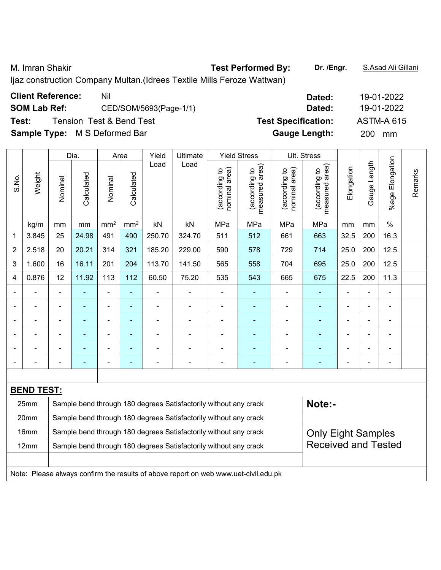M. Imran Shakir **Test Performed By: Dr. /Engr.** S.Asad Ali Gillani

Ijaz construction Company Multan.(Idrees Textile Mills Feroze Wattwan)

| <b>Client Reference:</b>             | Nil                                 | Dated:                     | 19-01-2022        |
|--------------------------------------|-------------------------------------|----------------------------|-------------------|
| <b>SOM Lab Ref:</b>                  | CED/SOM/5693(Page-1/1)              | Dated:                     | 19-01-2022        |
| Test:                                | <b>Tension Test &amp; Bend Test</b> | <b>Test Specification:</b> | <b>ASTM-A 615</b> |
| <b>Sample Type:</b> M S Deformed Bar |                                     | <b>Gauge Length:</b>       | <b>200</b><br>mm  |

|                |                   |                                                                                               | Dia.           |                | Area            | Yield          | <b>Ultimate</b><br>Load<br>Load                                                     |                                | <b>Yield Stress</b>             |                                | Ult. Stress                     |                |                |                          |         |
|----------------|-------------------|-----------------------------------------------------------------------------------------------|----------------|----------------|-----------------|----------------|-------------------------------------------------------------------------------------|--------------------------------|---------------------------------|--------------------------------|---------------------------------|----------------|----------------|--------------------------|---------|
| S.No.          | Weight            | Nominal                                                                                       | Calculated     | Nominal        | Calculated      |                |                                                                                     | nominal area)<br>(according to | measured area)<br>(according to | nominal area)<br>(according to | measured area)<br>(according to | Elongation     | Gauge Length   | Elongation<br>%age l     | Remarks |
|                | kg/m              | mm                                                                                            | mm             | $\text{mm}^2$  | mm <sup>2</sup> | kN             | kN                                                                                  | MPa                            | MPa                             | MPa                            | MPa                             | mm             | mm             | $\frac{0}{0}$            |         |
| 1              | 3.845             | 25                                                                                            | 24.98          | 491            | 490             | 250.70         | 324.70                                                                              | 511                            | 512                             | 661                            | 663                             | 32.5           | 200            | 16.3                     |         |
| $\overline{2}$ | 2.518             | 20                                                                                            | 20.21          | 314            | 321             | 185.20         | 229.00                                                                              | 590                            | 578                             | 729                            | 714                             | 25.0           | 200            | 12.5                     |         |
| 3              | 1.600             | 16                                                                                            | 16.11          | 201            | 204             | 113.70         | 141.50                                                                              | 565                            | 558                             | 704                            | 695                             | 25.0           | 200            | 12.5                     |         |
| 4              | 0.876             | 12                                                                                            | 11.92          | 113            | 112             | 60.50          | 75.20                                                                               | 535                            | 543                             | 665                            | 675                             | 22.5           | 200            | 11.3                     |         |
| $\blacksquare$ |                   | $\blacksquare$                                                                                |                | ÷,             | ä,              | ä,             | $\overline{a}$                                                                      | $\blacksquare$                 | ٠                               | ÷,                             | $\blacksquare$                  | $\blacksquare$ | $\blacksquare$ | $\overline{\phantom{a}}$ |         |
|                | ÷                 |                                                                                               | $\blacksquare$ | $\blacksquare$ | $\blacksquare$  | ÷              | $\overline{a}$                                                                      | $\blacksquare$                 | $\blacksquare$                  | ÷,                             | $\blacksquare$                  | $\blacksquare$ | $\overline{a}$ | $\overline{\phantom{a}}$ |         |
|                | $\blacksquare$    | $\blacksquare$                                                                                | ä,             | $\blacksquare$ | $\blacksquare$  | $\overline{a}$ | $\blacksquare$                                                                      | $\blacksquare$                 | ä,                              | $\blacksquare$                 | $\blacksquare$                  | $\blacksquare$ | ÷              | $\blacksquare$           |         |
|                |                   |                                                                                               | $\blacksquare$ | $\blacksquare$ | ä,              | $\blacksquare$ |                                                                                     | $\blacksquare$                 | ä,                              | Ē,                             |                                 |                | ä,             | $\blacksquare$           |         |
|                |                   |                                                                                               |                |                |                 |                |                                                                                     |                                | $\blacksquare$                  |                                |                                 |                |                |                          |         |
|                |                   |                                                                                               |                | ÷              | ÷               |                | $\blacksquare$                                                                      | $\overline{a}$                 | ٠                               | ÷                              |                                 |                | $\blacksquare$ | $\blacksquare$           |         |
|                |                   |                                                                                               |                |                |                 |                |                                                                                     |                                |                                 |                                |                                 |                |                |                          |         |
|                | <b>BEND TEST:</b> |                                                                                               |                |                |                 |                |                                                                                     |                                |                                 |                                |                                 |                |                |                          |         |
|                | 25mm              |                                                                                               |                |                |                 |                | Sample bend through 180 degrees Satisfactorily without any crack                    |                                |                                 |                                | Note:-                          |                |                |                          |         |
|                | 20mm              |                                                                                               |                |                |                 |                | Sample bend through 180 degrees Satisfactorily without any crack                    |                                |                                 |                                |                                 |                |                |                          |         |
|                | 16mm              | Sample bend through 180 degrees Satisfactorily without any crack<br><b>Only Eight Samples</b> |                |                |                 |                |                                                                                     |                                |                                 |                                |                                 |                |                |                          |         |
|                | 12mm              |                                                                                               |                |                |                 |                | Sample bend through 180 degrees Satisfactorily without any crack                    |                                |                                 |                                | <b>Received and Tested</b>      |                |                |                          |         |
|                |                   |                                                                                               |                |                |                 |                |                                                                                     |                                |                                 |                                |                                 |                |                |                          |         |
|                |                   |                                                                                               |                |                |                 |                | Note: Please always confirm the results of above report on web www.uet-civil.edu.pk |                                |                                 |                                |                                 |                |                |                          |         |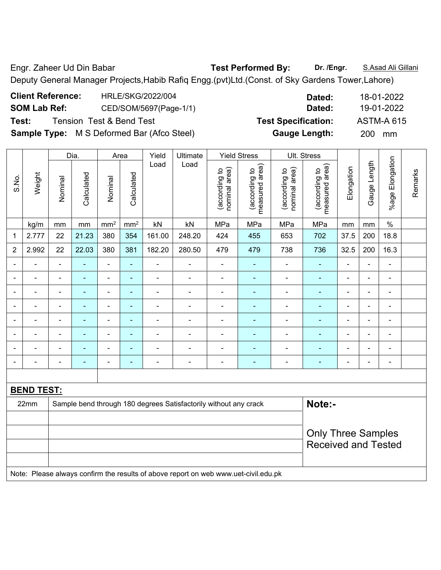Engr. Zaheer Ud Din Babar **Test Performed By: Dr. /Engr.** S.Asad Ali Gillani Deputy General Manager Projects,Habib Rafiq Engg.(pvt)Ltd.(Const. of Sky Gardens Tower,Lahore)

| <b>Client Reference:</b> | HRLE/SKG/2022/004                                 | Dated:                     | 18-01-2022        |
|--------------------------|---------------------------------------------------|----------------------------|-------------------|
| <b>SOM Lab Ref:</b>      | CED/SOM/5697(Page-1/1)                            | Dated:                     | 19-01-2022        |
| Test:                    | <b>Tension Test &amp; Bend Test</b>               | <b>Test Specification:</b> | <b>ASTM-A 615</b> |
|                          | <b>Sample Type:</b> M S Deformed Bar (Afco Steel) | <b>Gauge Length:</b>       | <b>200</b><br>mm  |

|                |                   |                | Dia.           |                          | Area            | Yield<br>Ultimate        |                                                                  | <b>Yield Stress</b>            |                                 | Ult. Stress                    |                                 |                |                |                 |         |
|----------------|-------------------|----------------|----------------|--------------------------|-----------------|--------------------------|------------------------------------------------------------------|--------------------------------|---------------------------------|--------------------------------|---------------------------------|----------------|----------------|-----------------|---------|
| S.No.          | Weight            | Nominal        | Calculated     | Nominal                  | Calculated      | Load                     | Load                                                             | nominal area)<br>(according to | measured area)<br>(according to | nominal area)<br>(according to | measured area)<br>(according to | Elongation     | Gauge Length   | %age Elongation | Remarks |
|                | kg/m              | mm             | mm             | mm <sup>2</sup>          | mm <sup>2</sup> | kN                       | kN                                                               | MPa                            | MPa                             | MPa                            | MPa                             | mm             | mm             | $\%$            |         |
| 1              | 2.777             | 22             | 21.23          | 380                      | 354             | 161.00                   | 248.20                                                           | 424                            | 455                             | 653                            | 702                             | 37.5           | 200            | 18.8            |         |
| $\overline{2}$ | 2.992             | 22             | 22.03          | 380                      | 381             | 182.20                   | 280.50                                                           | 479                            | 479                             | 738                            | 736                             | 32.5           | 200            | 16.3            |         |
| $\blacksquare$ | ÷                 | $\blacksquare$ | ÷,             | $\blacksquare$           | $\blacksquare$  | ä,                       | $\blacksquare$                                                   | $\blacksquare$                 | ÷                               | ÷                              | ä,                              | $\blacksquare$ | $\blacksquare$ | $\blacksquare$  |         |
|                |                   | ۰              | $\blacksquare$ | $\blacksquare$           | $\blacksquare$  | $\blacksquare$           | $\blacksquare$                                                   | -                              | $\blacksquare$                  | ÷                              | $\blacksquare$                  |                | ä,             | $\blacksquare$  |         |
|                |                   | $\blacksquare$ |                | $\blacksquare$           | $\blacksquare$  |                          | $\blacksquare$                                                   | $\blacksquare$                 |                                 | L,                             |                                 |                | $\blacksquare$ | $\blacksquare$  |         |
| $\blacksquare$ | $\blacksquare$    | $\blacksquare$ | $\blacksquare$ | $\overline{a}$           | $\blacksquare$  | $\blacksquare$           | $\blacksquare$                                                   | $\blacksquare$                 | $\blacksquare$                  | $\blacksquare$                 | $\overline{\phantom{0}}$        | $\blacksquare$ | $\blacksquare$ | $\blacksquare$  |         |
|                | $\blacksquare$    | $\blacksquare$ | ÷              | $\overline{\phantom{a}}$ | $\blacksquare$  | $\blacksquare$           | $\blacksquare$                                                   |                                | ٠                               | ä,                             |                                 |                | ä,             | $\blacksquare$  |         |
|                |                   |                | $\blacksquare$ | $\blacksquare$           | $\blacksquare$  |                          |                                                                  | $\blacksquare$                 | $\blacksquare$                  | L,                             |                                 |                | $\blacksquare$ | $\blacksquare$  |         |
|                | $\overline{a}$    | $\blacksquare$ | ٠              | $\blacksquare$           | $\blacksquare$  | $\blacksquare$           | $\blacksquare$                                                   | ä,                             | ۰                               | ÷                              |                                 |                | ä,             | $\blacksquare$  |         |
| $\blacksquare$ | ä,                | -              | ÷              | $\overline{\phantom{a}}$ | $\blacksquare$  | $\overline{\phantom{0}}$ | $\blacksquare$                                                   | -                              | ٠                               | ÷,                             | $\blacksquare$                  | $\blacksquare$ | -              | $\blacksquare$  |         |
|                |                   |                |                |                          |                 |                          |                                                                  |                                |                                 |                                |                                 |                |                |                 |         |
|                | <b>BEND TEST:</b> |                |                |                          |                 |                          |                                                                  |                                |                                 |                                |                                 |                |                |                 |         |
|                | 22mm              |                |                |                          |                 |                          | Sample bend through 180 degrees Satisfactorily without any crack |                                |                                 |                                | Note:-                          |                |                |                 |         |
|                |                   |                |                |                          |                 |                          |                                                                  |                                |                                 |                                |                                 |                |                |                 |         |
|                |                   |                |                |                          |                 |                          |                                                                  |                                |                                 |                                | <b>Only Three Samples</b>       |                |                |                 |         |
|                |                   |                |                |                          |                 |                          |                                                                  |                                |                                 |                                | <b>Received and Tested</b>      |                |                |                 |         |
|                |                   |                |                |                          |                 |                          |                                                                  |                                |                                 |                                |                                 |                |                |                 |         |

Note: Please always confirm the results of above report on web www.uet-civil.edu.pk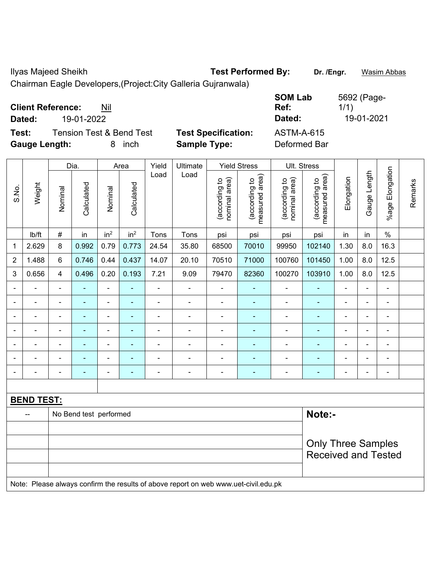Ilyas Majeed Sheikh **Test Performed By: Dr. /Engr.** Wasim Abbas

Chairman Eagle Developers,(Project:City Galleria Gujranwala)

| <b>Client Reference:</b><br>Nil<br>19-01-2022<br>Dated: |                            | <b>SOM Lab</b><br>Ref:<br>Dated: | 5692 (Page-<br>1/1<br>19-01-2021 |
|---------------------------------------------------------|----------------------------|----------------------------------|----------------------------------|
| Tension Test & Bend Test<br>Test:                       | <b>Test Specification:</b> | ASTM-A-615                       |                                  |
| <b>Gauge Length:</b><br><i>inch</i><br>8                | <b>Sample Type:</b>        | Deformed Bar                     |                                  |

|                |                                                                                     |                           | Dia.                     |                 | Area            | Yield          | <b>Ultimate</b>          |                                | <b>Yield Stress</b>             |                                | Ult. Stress                     |                          |                |                          |         |
|----------------|-------------------------------------------------------------------------------------|---------------------------|--------------------------|-----------------|-----------------|----------------|--------------------------|--------------------------------|---------------------------------|--------------------------------|---------------------------------|--------------------------|----------------|--------------------------|---------|
| S.No.          | Weight                                                                              | Nominal                   | Calculated               | Nominal         | Calculated      | Load           | Load                     | nominal area)<br>(according to | measured area)<br>(according to | nominal area)<br>(according to | measured area)<br>(according to | Elongation               | Gauge Length   | %age Elongation          | Remarks |
|                | Ib/ft                                                                               | $\#$                      | in                       | in <sup>2</sup> | in <sup>2</sup> | Tons           | Tons                     | psi                            | psi                             | psi                            | psi                             | in                       | in             | $\%$                     |         |
| $\mathbf 1$    | 2.629                                                                               | 8                         | 0.992                    | 0.79            | 0.773           | 24.54          | 35.80                    | 68500                          | 70010                           | 99950                          | 102140                          | 1.30                     | 8.0            | 16.3                     |         |
| $\overline{2}$ | 1.488                                                                               | 6                         | 0.746                    | 0.44            | 0.437           | 14.07          | 20.10                    | 70510                          | 71000                           | 100760                         | 101450                          | 1.00                     | 8.0            | 12.5                     |         |
| 3              | 0.656                                                                               | $\overline{4}$            | 0.496                    | 0.20            | 0.193           | 7.21           | 9.09                     | 79470                          | 82360                           | 100270                         | 103910                          | 1.00                     | 8.0            | 12.5                     |         |
|                |                                                                                     | $\blacksquare$            | ä,                       | $\blacksquare$  | ÷               | ä,             | $\blacksquare$           | $\overline{\phantom{a}}$       | ٠                               | $\blacksquare$                 | ÷,                              | $\blacksquare$           | ÷,             | $\blacksquare$           |         |
|                | ä,                                                                                  | $\blacksquare$            | ÷,                       | $\blacksquare$  | ä,              | $\blacksquare$ | $\overline{\phantom{a}}$ | $\blacksquare$                 | ä,                              | ÷,                             | ä,                              | $\blacksquare$           | ä,             | $\blacksquare$           |         |
|                |                                                                                     | $\overline{\phantom{a}}$  |                          | $\blacksquare$  |                 |                |                          | $\blacksquare$                 | $\blacksquare$                  | $\blacksquare$                 |                                 |                          | $\blacksquare$ | $\blacksquare$           |         |
|                |                                                                                     |                           |                          |                 |                 |                |                          |                                |                                 |                                |                                 |                          |                | $\overline{\phantom{0}}$ |         |
|                |                                                                                     | $\blacksquare$            | $\blacksquare$           | ۰               | ÷               |                |                          | $\blacksquare$                 | ÷                               |                                |                                 |                          | $\blacksquare$ | $\blacksquare$           |         |
|                |                                                                                     | Ē,                        | $\blacksquare$           | $\blacksquare$  |                 |                |                          | $\overline{a}$                 | $\overline{\phantom{a}}$        | $\blacksquare$                 | $\blacksquare$                  | $\blacksquare$           | $\blacksquare$ | $\blacksquare$           |         |
|                |                                                                                     | ٠                         | $\overline{\phantom{0}}$ | $\overline{a}$  | ۰               |                | $\overline{\phantom{0}}$ | $\blacksquare$                 | $\overline{a}$                  | $\overline{\phantom{0}}$       | $\overline{\phantom{0}}$        | $\overline{\phantom{0}}$ | $\blacksquare$ | $\blacksquare$           |         |
|                |                                                                                     |                           |                          |                 |                 |                |                          |                                |                                 |                                |                                 |                          |                |                          |         |
|                | <b>BEND TEST:</b>                                                                   |                           |                          |                 |                 |                |                          |                                |                                 |                                |                                 |                          |                |                          |         |
|                |                                                                                     |                           | No Bend test performed   |                 |                 |                |                          |                                |                                 |                                | Note:-                          |                          |                |                          |         |
|                |                                                                                     |                           |                          |                 |                 |                |                          |                                |                                 |                                |                                 |                          |                |                          |         |
|                |                                                                                     | <b>Only Three Samples</b> |                          |                 |                 |                |                          |                                |                                 |                                |                                 |                          |                |                          |         |
|                |                                                                                     |                           |                          |                 |                 |                |                          |                                |                                 |                                | <b>Received and Tested</b>      |                          |                |                          |         |
|                | Note: Please always confirm the results of above report on web www.uet-civil.edu.pk |                           |                          |                 |                 |                |                          |                                |                                 |                                |                                 |                          |                |                          |         |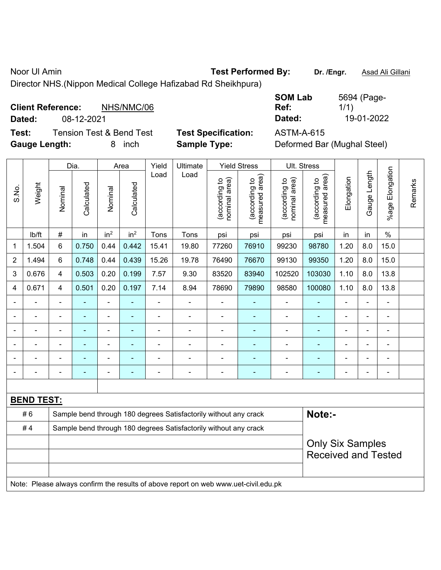Noor Ul Amin **Test Performed By:** Dr. /Engr. **Asad Ali Gillani** Assembly Dr. /Engr. **Asad Ali Gillani** 

Director NHS.(Nippon Medical College Hafizabad Rd Sheikhpura)

| <b>Client Reference:</b> | NHS/NMC/06                          |                            | Ref:       | 1/1)       |
|--------------------------|-------------------------------------|----------------------------|------------|------------|
| Dated:                   | 08-12-2021                          |                            | Dated:     | 19-01-2022 |
| Test:                    | <b>Tension Test &amp; Bend Test</b> | <b>Test Specification:</b> | ASTM-A-615 |            |

**Test Specification:** ASTM-A-615

| <b>SOM Lab</b> | 5694 (Page- |
|----------------|-------------|
| Ref:           | 1/1)        |
| Dated:         | 19-01-2022  |

**Gauge Length:** 8 inch **Sample Type:** Deformed Bar (Mughal Steel)

|                          |                                                                                     |                         | Dia.           |                 | Area            |                              | Yield<br><b>Yield Stress</b><br>Ultimate                         |                                |                                 | Ult. Stress                    |                                 |                          |              |                          |         |
|--------------------------|-------------------------------------------------------------------------------------|-------------------------|----------------|-----------------|-----------------|------------------------------|------------------------------------------------------------------|--------------------------------|---------------------------------|--------------------------------|---------------------------------|--------------------------|--------------|--------------------------|---------|
| S.No.                    | Weight                                                                              | Nominal                 | Calculated     | Nominal         | Calculated      | Load                         | Load                                                             | nominal area)<br>(according to | measured area)<br>(according to | nominal area)<br>(according to | measured area)<br>(according to | Elongation               | Gauge Length | %age Elongation          | Remarks |
|                          | lb/ft                                                                               | #                       | in             | in <sup>2</sup> | in <sup>2</sup> | Tons                         | Tons                                                             | psi                            | psi                             | psi                            | psi                             | in                       | in           | $\frac{0}{0}$            |         |
| 1                        | 1.504                                                                               | 6                       | 0.750          | 0.44            | 0.442           | 15.41                        | 19.80                                                            | 77260                          | 76910                           | 99230                          | 98780                           | 1.20                     | 8.0          | 15.0                     |         |
| $\overline{2}$           | 1.494                                                                               | 6                       | 0.748          | 0.44            | 0.439           | 15.26                        | 19.78                                                            | 76490                          | 76670                           | 99130                          | 99350                           | 1.20                     | 8.0          | 15.0                     |         |
| 3                        | 0.676                                                                               | 4                       | 0.503          | 0.20            | 0.199           | 7.57                         | 9.30                                                             | 83520                          | 83940                           | 102520                         | 103030                          | 1.10                     | 8.0          | 13.8                     |         |
| 4                        | 0.671                                                                               | 4                       | 0.501          | 0.20            | 0.197           | 7.14                         | 8.94                                                             | 78690                          | 79890                           | 98580                          | 100080                          | 1.10                     | 8.0          | 13.8                     |         |
| $\overline{\phantom{a}}$ |                                                                                     | $\blacksquare$          | ä,             | ä,              | ä,              | $\blacksquare$               | $\blacksquare$                                                   | $\blacksquare$                 | $\blacksquare$                  | ÷,                             | ÷                               | $\blacksquare$           | ä,           | ä,                       |         |
|                          |                                                                                     | $\blacksquare$          | $\blacksquare$ | $\blacksquare$  | ۰               | $\qquad \qquad \blacksquare$ | $\overline{a}$                                                   | $\overline{\phantom{0}}$       | $\overline{\phantom{0}}$        | $\blacksquare$                 | ٠                               | $\overline{\phantom{a}}$ | ÷,           | $\overline{\phantom{a}}$ |         |
|                          | $\blacksquare$                                                                      | $\blacksquare$          | ÷,             | $\blacksquare$  | ÷               | $\blacksquare$               | $\blacksquare$                                                   | $\blacksquare$                 | $\blacksquare$                  | $\blacksquare$                 | $\blacksquare$                  | $\blacksquare$           | ä,           | $\blacksquare$           |         |
|                          |                                                                                     | Ē,                      | $\blacksquare$ | $\blacksquare$  |                 |                              |                                                                  |                                |                                 |                                |                                 |                          | Ē,           | $\blacksquare$           |         |
|                          |                                                                                     |                         |                |                 |                 |                              |                                                                  |                                |                                 | $\blacksquare$                 | ۰                               |                          |              |                          |         |
|                          |                                                                                     |                         |                |                 |                 |                              |                                                                  |                                |                                 |                                |                                 |                          | ÷            | ä,                       |         |
|                          |                                                                                     |                         |                |                 |                 |                              |                                                                  |                                |                                 |                                |                                 |                          |              |                          |         |
|                          | <b>BEND TEST:</b>                                                                   |                         |                |                 |                 |                              |                                                                  |                                |                                 |                                |                                 |                          |              |                          |         |
|                          | #6                                                                                  |                         |                |                 |                 |                              | Sample bend through 180 degrees Satisfactorily without any crack |                                |                                 |                                | Note:-                          |                          |              |                          |         |
|                          | #4                                                                                  |                         |                |                 |                 |                              | Sample bend through 180 degrees Satisfactorily without any crack |                                |                                 |                                |                                 |                          |              |                          |         |
|                          |                                                                                     | <b>Only Six Samples</b> |                |                 |                 |                              |                                                                  |                                |                                 |                                |                                 |                          |              |                          |         |
|                          |                                                                                     |                         |                |                 |                 |                              |                                                                  |                                |                                 |                                | <b>Received and Tested</b>      |                          |              |                          |         |
|                          |                                                                                     |                         |                |                 |                 |                              |                                                                  |                                |                                 |                                |                                 |                          |              |                          |         |
|                          | Note: Please always confirm the results of above report on web www.uet-civil.edu.pk |                         |                |                 |                 |                              |                                                                  |                                |                                 |                                |                                 |                          |              |                          |         |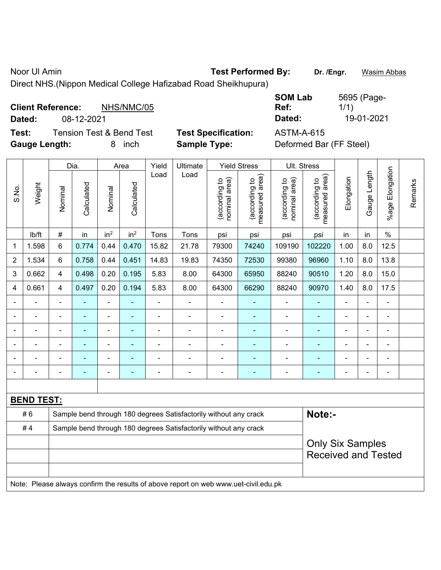Noor Ul Amin **Test Performed By:** Dr. /Engr. **Wasim Abbas Noor Ul Amin** 

Direct NHS.(Nippon Medical College Hafizabad Road Sheikhupura)

| <b>Client Reference:</b><br>Dated: | 08-12-2021 | NHS/NMC/05                          |                            | <b>SOM Lab</b><br>Ref:<br>Dated: | 5695 (Page-<br>1/1)<br>19-01-2021 |
|------------------------------------|------------|-------------------------------------|----------------------------|----------------------------------|-----------------------------------|
| Test:                              |            | <b>Tension Test &amp; Bend Test</b> | <b>Test Specification:</b> | ASTM-A-615                       |                                   |
| <b>Gauge Length:</b>               |            | inch<br>8.                          | <b>Sample Type:</b>        | Deformed Bar (FF Steel)          |                                   |

|                |                   |                                                                                     | Dia.                     |                 | Area            | Yield | Ultimate                                                         |                                | <b>Yield Stress</b>             |                                | Ult. Stress                     |                              |                |                 |         |
|----------------|-------------------|-------------------------------------------------------------------------------------|--------------------------|-----------------|-----------------|-------|------------------------------------------------------------------|--------------------------------|---------------------------------|--------------------------------|---------------------------------|------------------------------|----------------|-----------------|---------|
| S.No.          | Weight            | Nominal                                                                             | Calculated               | Nominal         | Calculated      | Load  | Load                                                             | nominal area)<br>(according to | (according to<br>measured area) | nominal area)<br>(according to | measured area)<br>(according to | Elongation                   | Gauge Length   | %age Elongation | Remarks |
|                | lb/ft             | $\#$                                                                                | in                       | in <sup>2</sup> | in <sup>2</sup> | Tons  | Tons                                                             | psi                            | psi                             | psi                            | psi                             | in                           | in             | $\%$            |         |
| 1              | 1.598             | 6                                                                                   | 0.774                    | 0.44            | 0.470           | 15.82 | 21.78                                                            | 79300                          | 74240                           | 109190                         | 102220                          | 1.00                         | 8.0            | 12.5            |         |
| $\overline{2}$ | 1.534             | 6                                                                                   | 0.758                    | 0.44            | 0.451           | 14.83 | 19.83                                                            | 74350                          | 72530                           | 99380                          | 96960                           | 1.10                         | 8.0            | 13.8            |         |
| 3              | 0.662             | 4                                                                                   | 0.498                    | 0.20            | 0.195           | 5.83  | 8.00                                                             | 64300                          | 65950                           | 88240                          | 90510                           | 1.20                         | 8.0            | 15.0            |         |
| 4              | 0.661             | 4                                                                                   | 0.497                    | 0.20            | 0.194           | 5.83  | 8.00                                                             | 64300                          | 66290                           | 88240                          | 90970                           | 1.40                         | 8.0            | 17.5            |         |
|                |                   |                                                                                     | ÷                        | $\blacksquare$  | ä,              | ä,    | $\blacksquare$                                                   | ÷,                             | $\blacksquare$                  | $\blacksquare$                 | ÷                               | $\blacksquare$               | $\blacksquare$ | ÷,              |         |
|                |                   |                                                                                     |                          | ä,              |                 |       | $\blacksquare$                                                   | L,                             | ä,                              | ä,                             | ä,                              |                              |                | L,              |         |
|                |                   |                                                                                     |                          | ÷               |                 |       |                                                                  | Ē,                             | $\blacksquare$                  | Ē,                             | ۰                               |                              |                | $\blacksquare$  |         |
|                |                   |                                                                                     |                          | $\blacksquare$  |                 |       | $\blacksquare$                                                   | $\overline{\phantom{a}}$       | ٠                               |                                |                                 | $\blacksquare$               | $\blacksquare$ | $\blacksquare$  |         |
|                |                   |                                                                                     |                          | ÷               |                 |       |                                                                  | ٠                              |                                 |                                | ۰                               | ۰                            | $\blacksquare$ | $\blacksquare$  |         |
| $\blacksquare$ |                   |                                                                                     | $\overline{\phantom{a}}$ | $\blacksquare$  | $\blacksquare$  |       | $\blacksquare$                                                   | $\blacksquare$                 | $\overline{a}$                  | $\overline{\phantom{0}}$       | $\blacksquare$                  | $\qquad \qquad \blacksquare$ | $\blacksquare$ | $\blacksquare$  |         |
|                |                   |                                                                                     |                          |                 |                 |       |                                                                  |                                |                                 |                                |                                 |                              |                |                 |         |
|                | <b>BEND TEST:</b> |                                                                                     |                          |                 |                 |       |                                                                  |                                |                                 |                                |                                 |                              |                |                 |         |
|                | #6                |                                                                                     |                          |                 |                 |       | Sample bend through 180 degrees Satisfactorily without any crack |                                |                                 |                                | Note:-                          |                              |                |                 |         |
|                | #4                |                                                                                     |                          |                 |                 |       | Sample bend through 180 degrees Satisfactorily without any crack |                                |                                 |                                |                                 |                              |                |                 |         |
|                |                   |                                                                                     |                          |                 |                 |       |                                                                  |                                |                                 |                                | <b>Only Six Samples</b>         |                              |                |                 |         |
|                |                   |                                                                                     |                          |                 |                 |       |                                                                  |                                |                                 |                                | <b>Received and Tested</b>      |                              |                |                 |         |
|                |                   |                                                                                     |                          |                 |                 |       |                                                                  |                                |                                 |                                |                                 |                              |                |                 |         |
|                |                   | Note: Please always confirm the results of above report on web www.uet-civil.edu.pk |                          |                 |                 |       |                                                                  |                                |                                 |                                |                                 |                              |                |                 |         |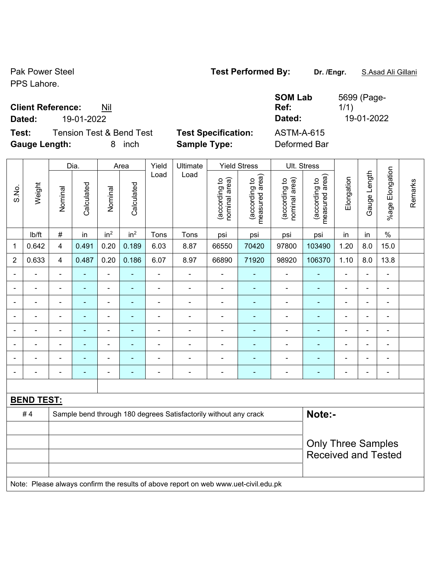## Pak Power Steel **Test Performed By:** Dr. /Engr. **S.Asad Ali Gillani**

PPS Lahore.

## **Client Reference:** Nil

**Dated:** 19-01-2022 **Dated:** 19-01-2022

**Test:** Tension Test & Bend Test **Test Specification: Gauge Length:** 8 inch **Sample Type:** Deformed Bar

| <b>SOM Lab</b>    | 5699 (Page- |
|-------------------|-------------|
| Ref:              | 1/1)        |
| Dated:            | 19-01-2022  |
| <b>ASTM-A-615</b> |             |
| Dafamo ad Dau     |             |

|                                                                        | Weight            | Dia.                    |                | Area                     |                 | Yield          | Ultimate                                                                            | <b>Yield Stress</b> |                                | Ult. Stress                     |                                |                                 |                |                          |                 |         |
|------------------------------------------------------------------------|-------------------|-------------------------|----------------|--------------------------|-----------------|----------------|-------------------------------------------------------------------------------------|---------------------|--------------------------------|---------------------------------|--------------------------------|---------------------------------|----------------|--------------------------|-----------------|---------|
| S.No.                                                                  |                   |                         | Nominal        | Calculated               | Nominal         | Calculated     | Load                                                                                | Load                | nominal area)<br>(according to | (according to<br>measured area) | (according to<br>nominal area) | measured area)<br>(according to | Elongation     | Gauge Length             | %age Elongation | Remarks |
|                                                                        | lb/ft             | $\#$                    | in             | in <sup>2</sup>          | in <sup>2</sup> | Tons           | Tons                                                                                | psi                 | psi                            | psi                             | psi                            | in                              | in             | $\%$                     |                 |         |
| 1                                                                      | 0.642             | $\overline{\mathbf{4}}$ | 0.491          | 0.20                     | 0.189           | 6.03           | 8.87                                                                                | 66550               | 70420                          | 97800                           | 103490                         | 1.20                            | 8.0            | 15.0                     |                 |         |
| $\overline{2}$                                                         | 0.633             | $\overline{4}$          | 0.487          | 0.20                     | 0.186           | 6.07           | 8.97                                                                                | 66890               | 71920                          | 98920                           | 106370                         | 1.10                            | 8.0            | 13.8                     |                 |         |
|                                                                        | $\blacksquare$    |                         | $\blacksquare$ | ÷,                       | ä,              | ä,             | $\blacksquare$                                                                      | $\blacksquare$      | ÷                              | $\blacksquare$                  | ä,                             | $\blacksquare$                  | $\blacksquare$ | $\blacksquare$           |                 |         |
| $\blacksquare$                                                         | ÷                 | ä,                      | ÷,             | ÷,                       | $\blacksquare$  | L,             | ä,                                                                                  | $\blacksquare$      | ٠                              | $\blacksquare$                  | $\frac{1}{2}$                  | $\blacksquare$                  | $\blacksquare$ | $\overline{\phantom{a}}$ |                 |         |
|                                                                        | ÷                 | $\blacksquare$          | Ē.             | $\overline{\phantom{0}}$ | $\blacksquare$  | ä,             | $\blacksquare$                                                                      | $\blacksquare$      | $\blacksquare$                 | $\blacksquare$                  | ÷,                             | $\blacksquare$                  | $\blacksquare$ | $\overline{\phantom{a}}$ |                 |         |
|                                                                        | ÷,                | $\blacksquare$          | ä,             | $\blacksquare$           | ٠               | ÷,             | ÷,                                                                                  | $\blacksquare$      | ÷                              | $\blacksquare$                  | $\frac{1}{2}$                  | ÷                               | $\blacksquare$ | $\blacksquare$           |                 |         |
|                                                                        | L                 | ä,                      | Ē.             | ÷,                       | ä,              | L,             | ÷,                                                                                  | $\blacksquare$      | ÷                              | $\blacksquare$                  | ÷,                             | ä,                              | ÷              | ä,                       |                 |         |
|                                                                        |                   |                         |                | $\blacksquare$           |                 | $\blacksquare$ | $\blacksquare$                                                                      |                     | ۰                              |                                 | -                              |                                 |                | $\blacksquare$           |                 |         |
|                                                                        | $\overline{a}$    |                         |                | ÷                        |                 | $\blacksquare$ | $\blacksquare$                                                                      | $\blacksquare$      | ۰                              |                                 | $\overline{\phantom{0}}$       | $\blacksquare$                  |                | $\blacksquare$           |                 |         |
|                                                                        |                   |                         | Ē.             | ÷,                       | Ē.              | Ē,             | $\blacksquare$                                                                      | $\blacksquare$      | $\blacksquare$                 | $\blacksquare$                  | ٠                              | $\blacksquare$                  | ÷              | ä,                       |                 |         |
|                                                                        |                   |                         |                |                          |                 |                |                                                                                     |                     |                                |                                 |                                |                                 |                |                          |                 |         |
|                                                                        | <b>BEND TEST:</b> |                         |                |                          |                 |                |                                                                                     |                     |                                |                                 |                                |                                 |                |                          |                 |         |
| #4<br>Sample bend through 180 degrees Satisfactorily without any crack |                   |                         |                |                          |                 |                |                                                                                     | Note:-              |                                |                                 |                                |                                 |                |                          |                 |         |
|                                                                        |                   |                         |                |                          |                 |                |                                                                                     |                     |                                |                                 |                                |                                 |                |                          |                 |         |
|                                                                        |                   |                         |                |                          |                 |                |                                                                                     |                     |                                |                                 | <b>Only Three Samples</b>      |                                 |                |                          |                 |         |
|                                                                        |                   |                         |                |                          |                 |                |                                                                                     |                     |                                |                                 |                                | <b>Received and Tested</b>      |                |                          |                 |         |
|                                                                        |                   |                         |                |                          |                 |                |                                                                                     |                     |                                |                                 |                                |                                 |                |                          |                 |         |
|                                                                        |                   |                         |                |                          |                 |                | Note: Please always confirm the results of above report on web www.uet-civil.edu.pk |                     |                                |                                 |                                |                                 |                |                          |                 |         |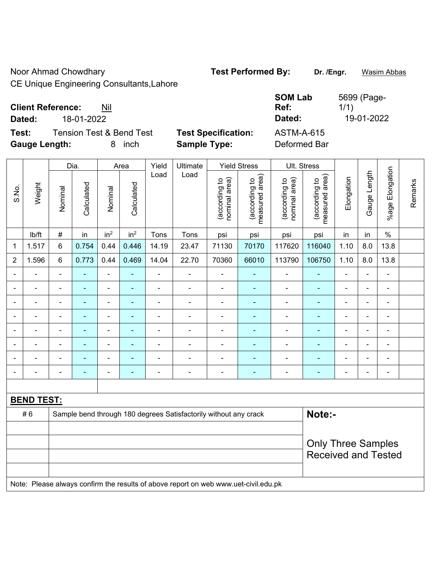Noor Ahmad Chowdhary **Test Performed By:** Dr. /Engr. **Wasim Abbas** 

CE Unique Engineering Consultants,Lahore

| <b>Client Reference:</b><br>Nil    | <b>SOM Lab</b><br>Ref:                          | 5699 (Page-<br>1/1) |
|------------------------------------|-------------------------------------------------|---------------------|
| 18-01-2022<br>Dated:               | Dated:                                          | 19-01-2022          |
| Tension Test & Bend Test<br>Test:  | <b>Test Specification:</b><br><b>ASTM-A-615</b> |                     |
| <b>Gauge Length:</b><br>inch<br>8. | <b>Sample Type:</b><br>Deformed Bar             |                     |

|                |                                                                                     | Dia.           |                | Area                     |                 | Yield          | Ultimate                 | <b>Yield Stress</b>            |                                 |                                | Ult. Stress                                             |                          |                          |                           |         |
|----------------|-------------------------------------------------------------------------------------|----------------|----------------|--------------------------|-----------------|----------------|--------------------------|--------------------------------|---------------------------------|--------------------------------|---------------------------------------------------------|--------------------------|--------------------------|---------------------------|---------|
| S.No.          | Weight                                                                              | Nominal        | Calculated     | Nominal                  | Calculated      | Load           | Load                     | nominal area)<br>(according to | (according to<br>measured area) | nominal area)<br>(according to | measured area)<br>(according to                         | Elongation               | Gauge Length             | Elongation<br>$%$ age $ $ | Remarks |
|                | lb/ft                                                                               | $\#$           | in             | in <sup>2</sup>          | in <sup>2</sup> | Tons           | Tons                     | psi                            | psi                             | psi                            | psi                                                     | in                       | in                       | $\%$                      |         |
| 1              | 1.517                                                                               | 6              | 0.754          | 0.44                     | 0.446           | 14.19          | 23.47                    | 71130                          | 70170                           | 117620                         | 116040                                                  | 1.10                     | 8.0                      | 13.8                      |         |
| $\overline{2}$ | 1.596                                                                               | 6              | 0.773          | 0.44                     | 0.469           | 14.04          | 22.70                    | 70360                          | 66010                           | 113790                         | 106750                                                  | 1.10                     | 8.0                      | 13.8                      |         |
| ٠              | $\blacksquare$                                                                      | $\blacksquare$ | $\blacksquare$ | $\blacksquare$           | $\blacksquare$  | $\blacksquare$ | ÷                        | $\blacksquare$                 | $\overline{\phantom{0}}$        | -                              | $\blacksquare$                                          | $\blacksquare$           | $\blacksquare$           | $\overline{\phantom{a}}$  |         |
| Ē,             | ÷                                                                                   | $\blacksquare$ | ä,             | ÷,                       | $\blacksquare$  | ä,             | ä,                       | $\blacksquare$                 | ä,                              | $\blacksquare$                 | $\blacksquare$                                          | ä,                       | $\blacksquare$           | ä,                        |         |
| Ē,             | ÷                                                                                   | $\overline{a}$ | ÷              | $\blacksquare$           | $\blacksquare$  | $\blacksquare$ | $\frac{1}{2}$            | $\overline{\phantom{a}}$       | $\blacksquare$                  | $\qquad \qquad \blacksquare$   | ۰                                                       | $\overline{\phantom{a}}$ | $\blacksquare$           | $\overline{\phantom{a}}$  |         |
|                | ÷                                                                                   | $\blacksquare$ | $\blacksquare$ | $\blacksquare$           | ٠               | $\blacksquare$ | $\blacksquare$           | $\blacksquare$                 | $\blacksquare$                  | $\blacksquare$                 | ۰                                                       | $\blacksquare$           | $\blacksquare$           | $\blacksquare$            |         |
| ٠              | $\blacksquare$                                                                      | $\blacksquare$ | $\blacksquare$ | $\overline{\phantom{a}}$ | $\blacksquare$  | $\blacksquare$ | $\overline{\phantom{a}}$ | $\blacksquare$                 | $\blacksquare$                  | $\blacksquare$                 | $\blacksquare$                                          | $\blacksquare$           | $\blacksquare$           | $\blacksquare$            |         |
|                |                                                                                     | $\blacksquare$ | $\blacksquare$ | $\blacksquare$           | ٠               |                |                          | $\blacksquare$                 | ä,                              | $\blacksquare$                 | L,                                                      |                          |                          | $\blacksquare$            |         |
|                |                                                                                     |                |                | $\blacksquare$           |                 |                |                          | L.                             |                                 |                                |                                                         |                          |                          | $\blacksquare$            |         |
|                | $\blacksquare$                                                                      | $\blacksquare$ | $\blacksquare$ | $\blacksquare$           | ٠               | $\blacksquare$ | $\blacksquare$           | $\blacksquare$                 | $\blacksquare$                  | $\blacksquare$                 | ۰                                                       | $\blacksquare$           | $\overline{\phantom{a}}$ | $\blacksquare$            |         |
|                |                                                                                     |                |                |                          |                 |                |                          |                                |                                 |                                |                                                         |                          |                          |                           |         |
|                | <b>BEND TEST:</b>                                                                   |                |                |                          |                 |                |                          |                                |                                 |                                |                                                         |                          |                          |                           |         |
|                | Note:-<br>#6<br>Sample bend through 180 degrees Satisfactorily without any crack    |                |                |                          |                 |                |                          |                                |                                 |                                |                                                         |                          |                          |                           |         |
|                |                                                                                     |                |                |                          |                 |                |                          |                                |                                 |                                |                                                         |                          |                          |                           |         |
|                |                                                                                     |                |                |                          |                 |                |                          |                                |                                 |                                | <b>Only Three Samples</b><br><b>Received and Tested</b> |                          |                          |                           |         |
|                |                                                                                     |                |                |                          |                 |                |                          |                                |                                 |                                |                                                         |                          |                          |                           |         |
|                |                                                                                     |                |                |                          |                 |                |                          |                                |                                 |                                |                                                         |                          |                          |                           |         |
|                | Note: Please always confirm the results of above report on web www.uet-civil.edu.pk |                |                |                          |                 |                |                          |                                |                                 |                                |                                                         |                          |                          |                           |         |